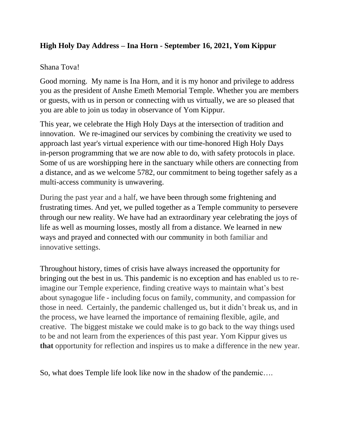## **High Holy Day Address – Ina Horn - September 16, 2021, Yom Kippur**

## Shana Tova!

Good morning. My name is Ina Horn, and it is my honor and privilege to address you as the president of Anshe Emeth Memorial Temple. Whether you are members or guests, with us in person or connecting with us virtually, we are so pleased that you are able to join us today in observance of Yom Kippur.

This year, we celebrate the High Holy Days at the intersection of tradition and innovation. We re-imagined our services by combining the creativity we used to approach last year's virtual experience with our time-honored High Holy Days in-person programming that we are now able to do, with safety protocols in place. Some of us are worshipping here in the sanctuary while others are connecting from a distance, and as we welcome 5782, our commitment to being together safely as a multi-access community is unwavering.

During the past year and a half, we have been through some frightening and frustrating times. And yet, we pulled together as a Temple community to persevere through our new reality. We have had an extraordinary year celebrating the joys of life as well as mourning losses, mostly all from a distance. We learned in new ways and prayed and connected with our community in both familiar and innovative settings.

Throughout history, times of crisis have always increased the opportunity for bringing out the best in us. This pandemic is no exception and has enabled us to reimagine our Temple experience, finding creative ways to maintain what's best about synagogue life - including focus on family, community, and compassion for those in need. Certainly, the pandemic challenged us, but it didn't break us, and in the process, we have learned the importance of remaining flexible, agile, and creative. The biggest mistake we could make is to go back to the way things used to be and not learn from the experiences of this past year. Yom Kippur gives us **that** opportunity for reflection and inspires us to make a difference in the new year.

So, what does Temple life look like now in the shadow of the pandemic….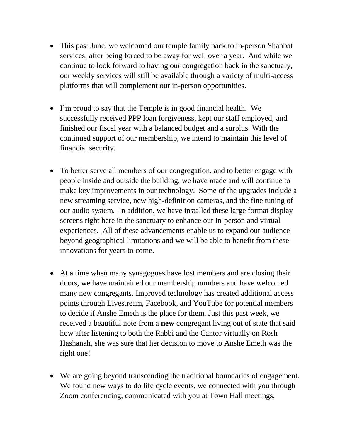- This past June, we welcomed our temple family back to in-person Shabbat services, after being forced to be away for well over a year. And while we continue to look forward to having our congregation back in the sanctuary, our weekly services will still be available through a variety of multi-access platforms that will complement our in-person opportunities.
- I'm proud to say that the Temple is in good financial health. We successfully received PPP loan forgiveness, kept our staff employed, and finished our fiscal year with a balanced budget and a surplus. With the continued support of our membership, we intend to maintain this level of financial security.
- To better serve all members of our congregation, and to better engage with people inside and outside the building, we have made and will continue to make key improvements in our technology. Some of the upgrades include a new streaming service, new high-definition cameras, and the fine tuning of our audio system. In addition, we have installed these large format display screens right here in the sanctuary to enhance our in-person and virtual experiences. All of these advancements enable us to expand our audience beyond geographical limitations and we will be able to benefit from these innovations for years to come.
- At a time when many synagogues have lost members and are closing their doors, we have maintained our membership numbers and have welcomed many new congregants. Improved technology has created additional access points through Livestream, Facebook, and YouTube for potential members to decide if Anshe Emeth is the place for them. Just this past week, we received a beautiful note from a **new** congregant living out of state that said how after listening to both the Rabbi and the Cantor virtually on Rosh Hashanah, she was sure that her decision to move to Anshe Emeth was the right one!
- We are going beyond transcending the traditional boundaries of engagement. We found new ways to do life cycle events, we connected with you through Zoom conferencing, communicated with you at Town Hall meetings,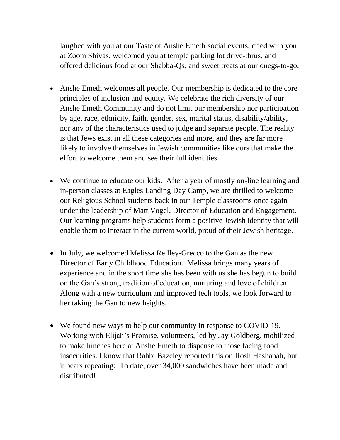laughed with you at our Taste of Anshe Emeth social events, cried with you at Zoom Shivas, welcomed you at temple parking lot drive-thrus, and offered delicious food at our Shabba-Qs, and sweet treats at our onegs-to-go.

- Anshe Emeth welcomes all people. Our membership is dedicated to the core principles of inclusion and equity. We celebrate the rich diversity of our Anshe Emeth Community and do not limit our membership nor participation by age, race, ethnicity, faith, gender, sex, marital status, disability/ability, nor any of the characteristics used to judge and separate people. The reality is that Jews exist in all these categories and more, and they are far more likely to involve themselves in Jewish communities like ours that make the effort to welcome them and see their full identities.
- We continue to educate our kids. After a year of mostly on-line learning and in-person classes at Eagles Landing Day Camp, we are thrilled to welcome our Religious School students back in our Temple classrooms once again under the leadership of Matt Vogel, Director of Education and Engagement. Our learning programs help students form a positive Jewish identity that will enable them to interact in the current world, proud of their Jewish heritage.
- In July, we welcomed Melissa Reilley-Grecco to the Gan as the new Director of Early Childhood Education. Melissa brings many years of experience and in the short time she has been with us she has begun to build on the Gan's strong tradition of education, nurturing and love of children. Along with a new curriculum and improved tech tools, we look forward to her taking the Gan to new heights.
- We found new ways to help our community in response to COVID-19. Working with Elijah's Promise, volunteers, led by Jay Goldberg, mobilized to make lunches here at Anshe Emeth to dispense to those facing food insecurities. I know that Rabbi Bazeley reported this on Rosh Hashanah, but it bears repeating: To date, over 34,000 sandwiches have been made and distributed!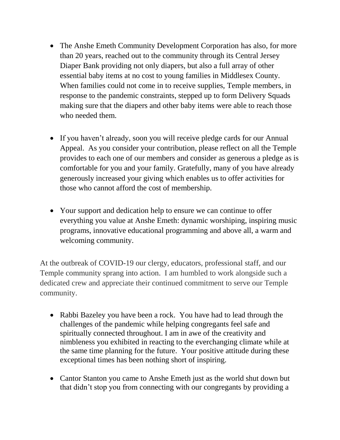- The Anshe Emeth Community Development Corporation has also, for more than 20 years, reached out to the community through its Central Jersey Diaper Bank providing not only diapers, but also a full array of other essential baby items at no cost to young families in Middlesex County. When families could not come in to receive supplies, Temple members, in response to the pandemic constraints, stepped up to form Delivery Squads making sure that the diapers and other baby items were able to reach those who needed them.
- If you haven't already, soon you will receive pledge cards for our Annual Appeal. As you consider your contribution, please reflect on all the Temple provides to each one of our members and consider as generous a pledge as is comfortable for you and your family. Gratefully, many of you have already generously increased your giving which enables us to offer activities for those who cannot afford the cost of membership.
- Your support and dedication help to ensure we can continue to offer everything you value at Anshe Emeth: dynamic worshiping, inspiring music programs, innovative educational programming and above all, a warm and welcoming community.

At the outbreak of COVID-19 our clergy, educators, professional staff, and our Temple community sprang into action. I am humbled to work alongside such a dedicated crew and appreciate their continued commitment to serve our Temple community.

- Rabbi Bazeley you have been a rock. You have had to lead through the challenges of the pandemic while helping congregants feel safe and spiritually connected throughout. I am in awe of the creativity and nimbleness you exhibited in reacting to the everchanging climate while at the same time planning for the future. Your positive attitude during these exceptional times has been nothing short of inspiring.
- Cantor Stanton you came to Anshe Emeth just as the world shut down but that didn't stop you from connecting with our congregants by providing a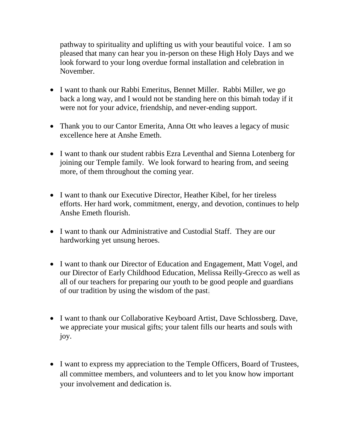pathway to spirituality and uplifting us with your beautiful voice. I am so pleased that many can hear you in-person on these High Holy Days and we look forward to your long overdue formal installation and celebration in November.

- I want to thank our Rabbi Emeritus, Bennet Miller. Rabbi Miller, we go back a long way, and I would not be standing here on this bimah today if it were not for your advice, friendship, and never-ending support.
- Thank you to our Cantor Emerita, Anna Ott who leaves a legacy of music excellence here at Anshe Emeth.
- I want to thank our student rabbis Ezra Leventhal and Sienna Lotenberg for joining our Temple family. We look forward to hearing from, and seeing more, of them throughout the coming year.
- I want to thank our Executive Director, Heather Kibel, for her tireless efforts. Her hard work, commitment, energy, and devotion, continues to help Anshe Emeth flourish.
- I want to thank our Administrative and Custodial Staff. They are our hardworking yet unsung heroes.
- I want to thank our Director of Education and Engagement, Matt Vogel, and our Director of Early Childhood Education, Melissa Reilly-Grecco as well as all of our teachers for preparing our youth to be good people and guardians of our tradition by using the wisdom of the past.
- I want to thank our Collaborative Keyboard Artist, Dave Schlossberg. Dave, we appreciate your musical gifts; your talent fills our hearts and souls with joy.
- I want to express my appreciation to the Temple Officers, Board of Trustees, all committee members, and volunteers and to let you know how important your involvement and dedication is.